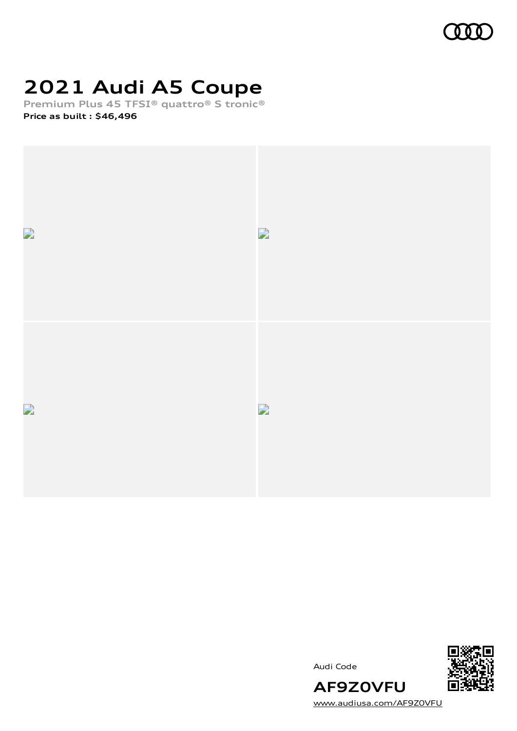

# **2021 Audi A5 Coupe**

**Premium Plus 45 TFSI® quattro® S tronic® Price as built [:](#page-8-0) \$46,496**





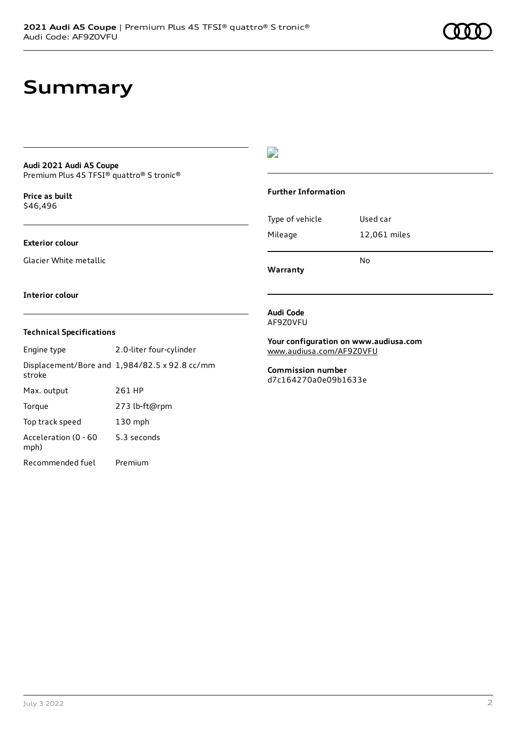## **Summary**

#### **Audi 2021 Audi A5 Coupe** Premium Plus 45 TFSI® quattro® S tronic®

**Price as buil[t](#page-8-0)** \$46,496

## **Exterior colour**

Glacier White metallic

### $\overline{\phantom{a}}$

#### **Further Information**

|                 | N٥           |
|-----------------|--------------|
| Mileage         | 12,061 miles |
| Type of vehicle | Used car     |

**Warranty**

#### **Interior colour**

### **Technical Specifications**

| Engine type                  | 2.0-liter four-cylinder                       |
|------------------------------|-----------------------------------------------|
| stroke                       | Displacement/Bore and 1,984/82.5 x 92.8 cc/mm |
| Max. output                  | 261 HP                                        |
| Torque                       | 273 lb-ft@rpm                                 |
| Top track speed              | 130 mph                                       |
| Acceleration (0 - 60<br>mph) | 5.3 seconds                                   |
| Recommended fuel             | Premium                                       |

#### **Audi Code** AF9Z0VFU

**Your configuration on www.audiusa.com**

[www.audiusa.com/AF9Z0VFU](https://www.audiusa.com/AF9Z0VFU)

**Commission number** d7c164270a0e09b1633e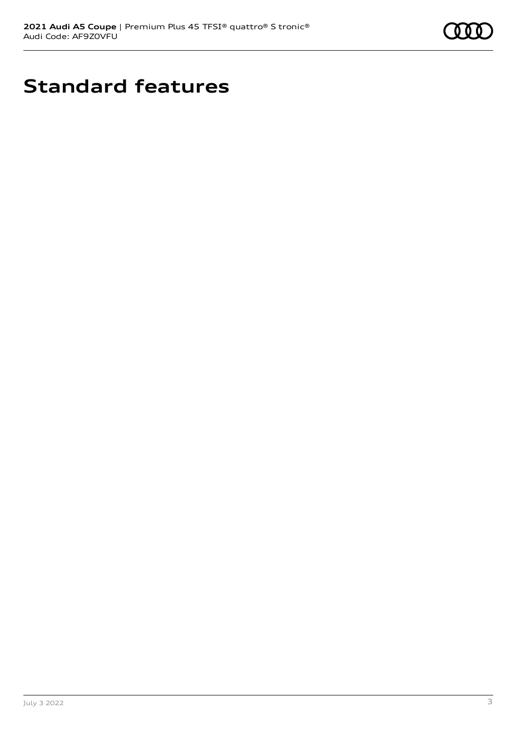

# **Standard features**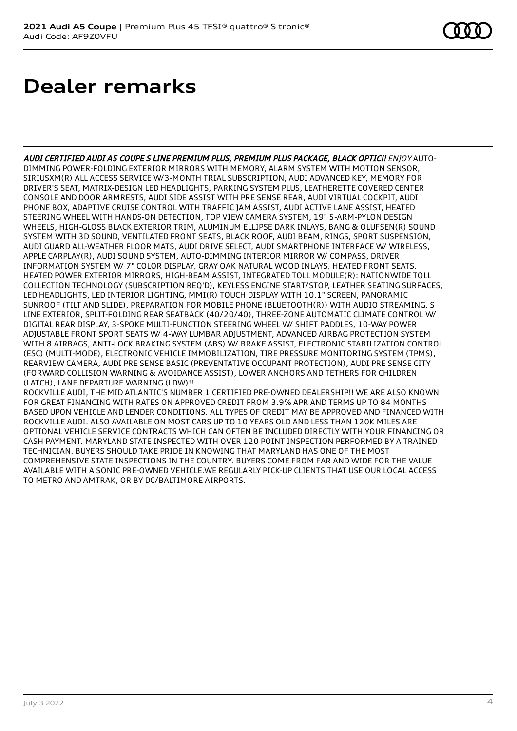## **Dealer remarks**

AUDI CERTIFIED AUDI A5 COUPE S LINE PREMIUM PLUS, PREMIUM PLUS PACKAGE, BLACK OPTIC!! ENJOY AUTO-DIMMING POWER-FOLDING EXTERIOR MIRRORS WITH MEMORY, ALARM SYSTEM WITH MOTION SENSOR, SIRIUSXM(R) ALL ACCESS SERVICE W/3-MONTH TRIAL SUBSCRIPTION, AUDI ADVANCED KEY, MEMORY FOR DRIVER'S SEAT, MATRIX-DESIGN LED HEADLIGHTS, PARKING SYSTEM PLUS, LEATHERETTE COVERED CENTER CONSOLE AND DOOR ARMRESTS, AUDI SIDE ASSIST WITH PRE SENSE REAR, AUDI VIRTUAL COCKPIT, AUDI PHONE BOX, ADAPTIVE CRUISE CONTROL WITH TRAFFIC JAM ASSIST, AUDI ACTIVE LANE ASSIST, HEATED STEERING WHEEL WITH HANDS-ON DETECTION, TOP VIEW CAMERA SYSTEM, 19" 5-ARM-PYLON DESIGN WHEELS, HIGH-GLOSS BLACK EXTERIOR TRIM, ALUMINUM ELLIPSE DARK INLAYS, BANG & OLUFSEN(R) SOUND SYSTEM WITH 3D SOUND, VENTILATED FRONT SEATS, BLACK ROOF, AUDI BEAM, RINGS, SPORT SUSPENSION, AUDI GUARD ALL-WEATHER FLOOR MATS, AUDI DRIVE SELECT, AUDI SMARTPHONE INTERFACE W/ WIRELESS, APPLE CARPLAY(R), AUDI SOUND SYSTEM, AUTO-DIMMING INTERIOR MIRROR W/ COMPASS, DRIVER INFORMATION SYSTEM W/ 7" COLOR DISPLAY, GRAY OAK NATURAL WOOD INLAYS, HEATED FRONT SEATS, HEATED POWER EXTERIOR MIRRORS, HIGH-BEAM ASSIST, INTEGRATED TOLL MODULE(R): NATIONWIDE TOLL COLLECTION TECHNOLOGY (SUBSCRIPTION REQ'D), KEYLESS ENGINE START/STOP, LEATHER SEATING SURFACES, LED HEADLIGHTS, LED INTERIOR LIGHTING, MMI(R) TOUCH DISPLAY WITH 10.1" SCREEN, PANORAMIC SUNROOF (TILT AND SLIDE), PREPARATION FOR MOBILE PHONE (BLUETOOTH(R)) WITH AUDIO STREAMING, S LINE EXTERIOR, SPLIT-FOLDING REAR SEATBACK (40/20/40), THREE-ZONE AUTOMATIC CLIMATE CONTROL W/ DIGITAL REAR DISPLAY, 3-SPOKE MULTI-FUNCTION STEERING WHEEL W/ SHIFT PADDLES, 10-WAY POWER ADJUSTABLE FRONT SPORT SEATS W/ 4-WAY LUMBAR ADJUSTMENT, ADVANCED AIRBAG PROTECTION SYSTEM WITH 8 AIRBAGS, ANTI-LOCK BRAKING SYSTEM (ABS) W/ BRAKE ASSIST, ELECTRONIC STABILIZATION CONTROL (ESC) (MULTI-MODE), ELECTRONIC VEHICLE IMMOBILIZATION, TIRE PRESSURE MONITORING SYSTEM (TPMS), REARVIEW CAMERA, AUDI PRE SENSE BASIC (PREVENTATIVE OCCUPANT PROTECTION), AUDI PRE SENSE CITY (FORWARD COLLISION WARNING & AVOIDANCE ASSIST), LOWER ANCHORS AND TETHERS FOR CHILDREN (LATCH), LANE DEPARTURE WARNING (LDW)!!

ROCKVILLE AUDI, THE MID ATLANTIC'S NUMBER 1 CERTIFIED PRE-OWNED DEALERSHIP!! WE ARE ALSO KNOWN FOR GREAT FINANCING WITH RATES ON APPROVED CREDIT FROM 3.9% APR AND TERMS UP TO 84 MONTHS BASED UPON VEHICLE AND LENDER CONDITIONS. ALL TYPES OF CREDIT MAY BE APPROVED AND FINANCED WITH ROCKVILLE AUDI. ALSO AVAILABLE ON MOST CARS UP TO 10 YEARS OLD AND LESS THAN 120K MILES ARE OPTIONAL VEHICLE SERVICE CONTRACTS WHICH CAN OFTEN BE INCLUDED DIRECTLY WITH YOUR FINANCING OR CASH PAYMENT. MARYLAND STATE INSPECTED WITH OVER 120 POINT INSPECTION PERFORMED BY A TRAINED TECHNICIAN. BUYERS SHOULD TAKE PRIDE IN KNOWING THAT MARYLAND HAS ONE OF THE MOST COMPREHENSIVE STATE INSPECTIONS IN THE COUNTRY. BUYERS COME FROM FAR AND WIDE FOR THE VALUE AVAILABLE WITH A SONIC PRE-OWNED VEHICLE.WE REGULARLY PICK-UP CLIENTS THAT USE OUR LOCAL ACCESS TO METRO AND AMTRAK, OR BY DC/BALTIMORE AIRPORTS.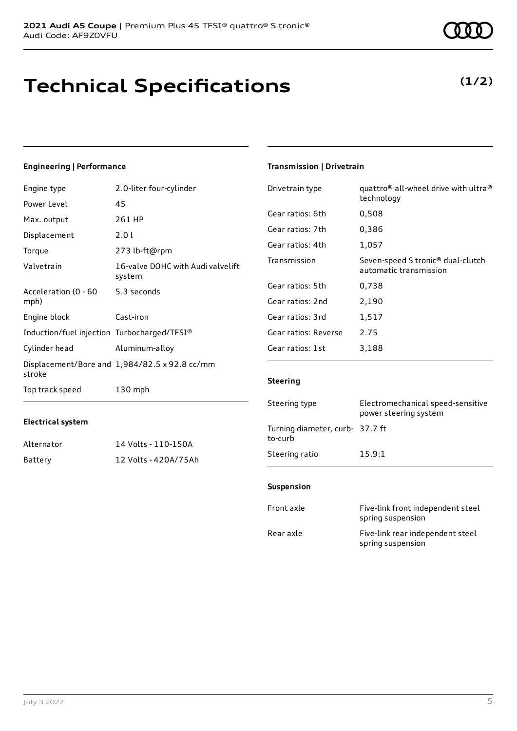## **Technical Specifications**

## **(1/2)**

## **Engineering | Performance**

| Engine type                                 | 2.0-liter four-cylinder                       | Drivetrain type      | quattro <sup>®</sup> all-wheel drive with ultra <sup>®</sup>            |
|---------------------------------------------|-----------------------------------------------|----------------------|-------------------------------------------------------------------------|
| Power Level                                 | 45                                            |                      | technology                                                              |
| Max. output                                 | 261 HP                                        | Gear ratios: 6th     | 0,508                                                                   |
| Displacement                                | 2.0 l                                         | Gear ratios: 7th     | 0,386                                                                   |
| Torque                                      | 273 lb-ft@rpm                                 | Gear ratios: 4th     | 1,057                                                                   |
| Valvetrain                                  | 16-valve DOHC with Audi valvelift<br>system   | Transmission         | Seven-speed S tronic <sup>®</sup> dual-clutch<br>automatic transmission |
| Acceleration (0 - 60                        | 5.3 seconds                                   | Gear ratios: 5th     | 0,738                                                                   |
| mph)                                        |                                               | Gear ratios: 2nd     | 2,190                                                                   |
| Engine block                                | Cast-iron                                     | Gear ratios: 3rd     | 1,517                                                                   |
| Induction/fuel injection Turbocharged/TFSI® |                                               | Gear ratios: Reverse | 2.75                                                                    |
| Cylinder head                               | Aluminum-alloy                                | Gear ratios: 1st     | 3,188                                                                   |
| stroke                                      | Displacement/Bore and 1,984/82.5 x 92.8 cc/mm |                      |                                                                         |
| Top track speed                             | $130$ mph                                     | <b>Steering</b>      |                                                                         |
|                                             |                                               |                      |                                                                         |

### **Electrical system**

| Alternator | 14 Volts - 110-150A  |
|------------|----------------------|
| Battery    | 12 Volts - 420A/75Ah |

## **Transmission | Drivetrain**

| Transmission                               | Seven-speed S tronic <sup>®</sup> dual-clutch<br>automatic transmission |
|--------------------------------------------|-------------------------------------------------------------------------|
| Gear ratios: 5th                           | 0,738                                                                   |
| Gear ratios: 2nd                           | 2,190                                                                   |
| Gear ratios: 3rd                           | 1,517                                                                   |
| Gear ratios: Reverse                       | 2.75                                                                    |
| Gear ratios: 1st                           | 3,188                                                                   |
| <b>Steering</b>                            |                                                                         |
| Steering type                              | Electromechanical speed-sensitive<br>power steering system              |
| Turning diameter, curb- 37.7 ft<br>to-curb |                                                                         |
| Steering ratio                             | 15.9:1                                                                  |

#### **Suspension**

| Front axle | Five-link front independent steel<br>spring suspension |
|------------|--------------------------------------------------------|
| Rear axle  | Five-link rear independent steel<br>spring suspension  |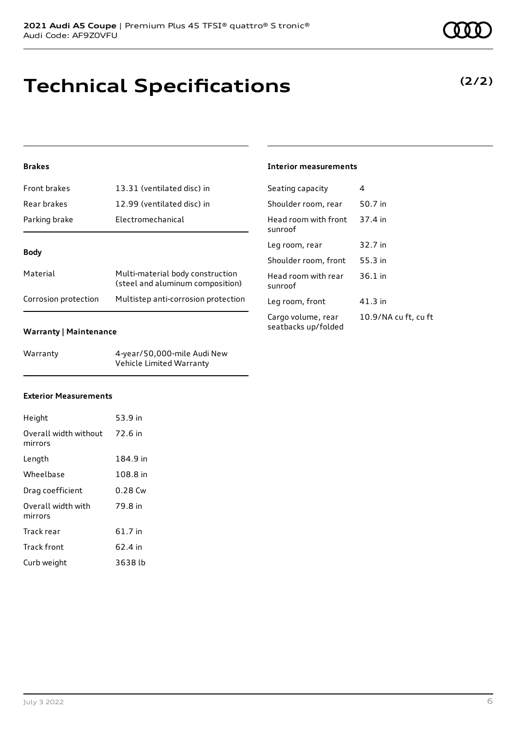## **Brakes**

| Front brakes         | 13.31 (ventilated disc) in                                           |  |
|----------------------|----------------------------------------------------------------------|--|
| Rear brakes          | 12.99 (ventilated disc) in                                           |  |
| Parking brake        | Electromechanical                                                    |  |
|                      |                                                                      |  |
| <b>Body</b>          |                                                                      |  |
| Material             | Multi-material body construction<br>(steel and aluminum composition) |  |
| Corrosion protection | Multistep anti-corrosion protection                                  |  |

### **Warranty | Maintenance**

| Warranty | 4-year/50,000-mile Audi New |
|----------|-----------------------------|
|          | Vehicle Limited Warranty    |

## **Exterior Measurements**

| Height                           | 53.9 in   |
|----------------------------------|-----------|
| Overall width without<br>mirrors | 72.6 in   |
| Length                           | 184.9 in  |
| Wheelbase                        | 108.8 in  |
| Drag coefficient                 | $0.28$ Cw |
| Overall width with<br>mirrors    | 79.8 in   |
| Track rear                       | 61.7 in   |
| Track front                      | 62.4 in   |
| Curb weight                      | 3638 lb   |

### **Interior measurements**

| Seating capacity                          | 4                    |
|-------------------------------------------|----------------------|
| Shoulder room, rear                       | 50.7 in              |
| Head room with front<br>sunroof           | 37.4 in              |
| Leg room, rear                            | 32.7 in              |
| Shoulder room, front                      | 55.3 in              |
| Head room with rear<br>sunroof            | 36.1 in              |
| Leg room, front                           | $41.3$ in            |
| Cargo volume, rear<br>seatbacks up/folded | 10.9/NA cu ft, cu ft |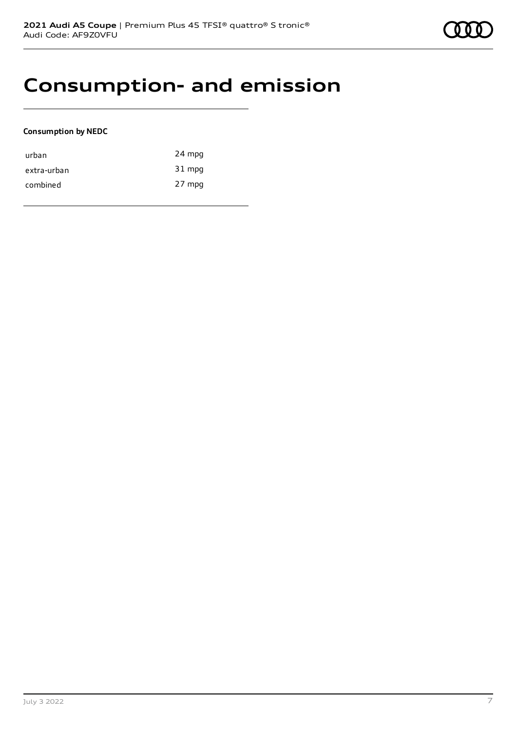## **Consumption- and emission**

#### **Consumption by NEDC**

| urban       | 24 mpg |
|-------------|--------|
| extra-urban | 31 mpg |
| combined    | 27 mpg |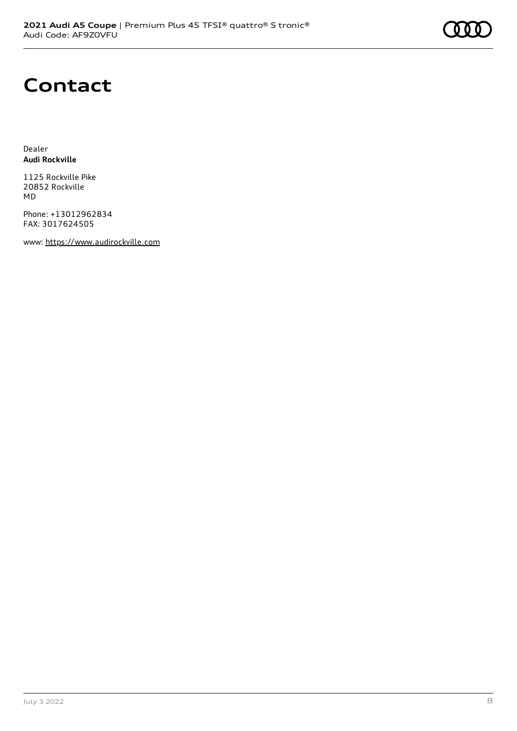# **Contact**

Dealer **Audi Rockville**

1125 Rockville Pike 20852 Rockville MD

Phone: +13012962834 FAX: 3017624505

www: [https://www.audirockville.com](https://www.audirockville.com/)